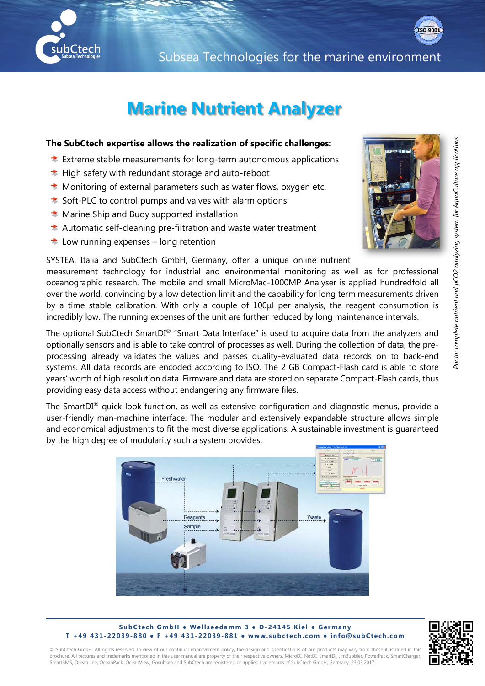

# **Marine Nutrient Analyzer**

### **The SubCtech expertise allows the realization of specific challenges:**

- $\overline{\phantom{a}}$  Extreme stable measurements for long-term autonomous applications
- $\overline{\bullet}$  High safety with redundant storage and auto-reboot
- $\triangleq$  Monitoring of external parameters such as water flows, oxygen etc.
- $\uparrow$  Soft-PLC to control pumps and valves with alarm options
- $\uparrow$  Marine Ship and Buoy supported installation
- Automatic self-cleaning pre-filtration and waste water treatment
- $\uparrow$  Low running expenses long retention



SYSTEA, Italia and SubCtech GmbH, Germany, offer a unique online nutrient

measurement technology for industrial and environmental monitoring as well as for professional oceanographic research. The mobile and small MicroMac-1000MP Analyser is applied hundredfold all over the world, convincing by a low detection limit and the capability for long term measurements driven by a time stable calibration. With only a couple of 100μl per analysis, the reagent consumption is incredibly low. The running expenses of the unit are further reduced by long maintenance intervals.

The optional SubCtech SmartDI® "Smart Data Interface" is used to acquire data from the analyzers and optionally sensors and is able to take control of processes as well. During the collection of data, the preprocessing already validates the values and passes quality-evaluated data records on to back-end systems. All data records are encoded according to ISO. The 2 GB Compact-Flash card is able to store years' worth of high resolution data. Firmware and data are stored on separate Compact-Flash cards, thus providing easy data access without endangering any firmware files.

The SmartDI® quick look function, as well as extensive configuration and diagnostic menus, provide a user-friendly man-machine interface. The modular and extensively expandable structure allows simple and economical adjustments to fit the most diverse applications. A sustainable investment is guaranteed by the high degree of modularity such a system provides.



#### **SubCtech GmbH ● Wellseedamm 3 ● D-24145 Kiel ● Germany T +49 431-22039-880 ● F +49 431-22039-881 ● www.subctech.com ● info@subCtech.com**



© SubCtech GmbH. All rights reserved. In view of our continual improvement policy, the design and specifications of our products may vary from those illustrated in this brochure. All pictures and trademarks mentioned in this user manual are property of their respective owners. MicroDI, NetDI, SmartDI, , mBubbler, PowerPack, SmartCharger, SmartBMS, OceanLine, OceanPack, OceanView, Gosubsea and SubCtech are registered or applied trademarks of SubCtech GmbH, Germany. 23.03.2017